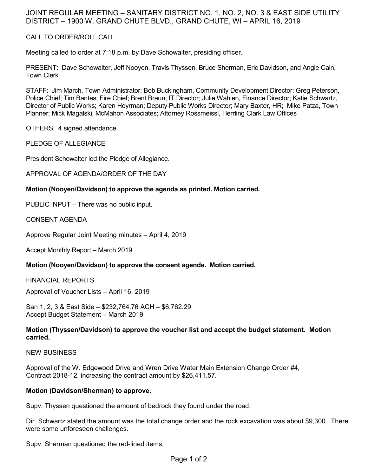# JOINT REGULAR MEETING – SANITARY DISTRICT NO. 1, NO. 2, NO. 3 & EAST SIDE UTILITY DISTRICT – 1900 W. GRAND CHUTE BLVD., GRAND CHUTE, WI – APRIL 16, 2019

# CALL TO ORDER/ROLL CALL

Meeting called to order at 7:18 p.m. by Dave Schowalter, presiding officer.

PRESENT: Dave Schowalter, Jeff Nooyen, Travis Thyssen, Bruce Sherman, Eric Davidson, and Angie Cain, Town Clerk

STAFF: Jim March, Town Administrator; Bob Buckingham, Community Development Director; Greg Peterson, Police Chief; Tim Bantes, Fire Chief; Brent Braun; IT Director; Julie Wahlen, Finance Director; Katie Schwartz, Director of Public Works; Karen Heyrman; Deputy Public Works Director; Mary Baxter, HR; Mike Patza, Town Planner; Mick Magalski, McMahon Associates; Attorney Rossmeissl, Herrling Clark Law Offices

OTHERS: 4 signed attendance

PLEDGE OF ALLEGIANCE

President Schowalter led the Pledge of Allegiance.

APPROVAL OF AGENDA/ORDER OF THE DAY

#### **Motion (Nooyen/Davidson) to approve the agenda as printed. Motion carried.**

PUBLIC INPUT – There was no public input.

CONSENT AGENDA

Approve Regular Joint Meeting minutes – April 4, 2019

Accept Monthly Report – March 2019

#### **Motion (Nooyen/Davidson) to approve the consent agenda. Motion carried.**

FINANCIAL REPORTS

Approval of Voucher Lists – April 16, 2019

San 1, 2, 3 & East Side – \$232,764.76 ACH – \$6,762.29 Accept Budget Statement – March 2019

# **Motion (Thyssen/Davidson) to approve the voucher list and accept the budget statement. Motion carried.**

NEW BUSINESS

Approval of the W. Edgewood Drive and Wren Drive Water Main Extension Change Order #4, Contract 2018-12, increasing the contract amount by \$26,411.57.

#### **Motion (Davidson/Sherman) to approve.**

Supv. Thyssen questioned the amount of bedrock they found under the road.

Dir. Schwartz stated the amount was the total change order and the rock excavation was about \$9,300. There were some unforeseen challenges.

Supv. Sherman questioned the red-lined items.